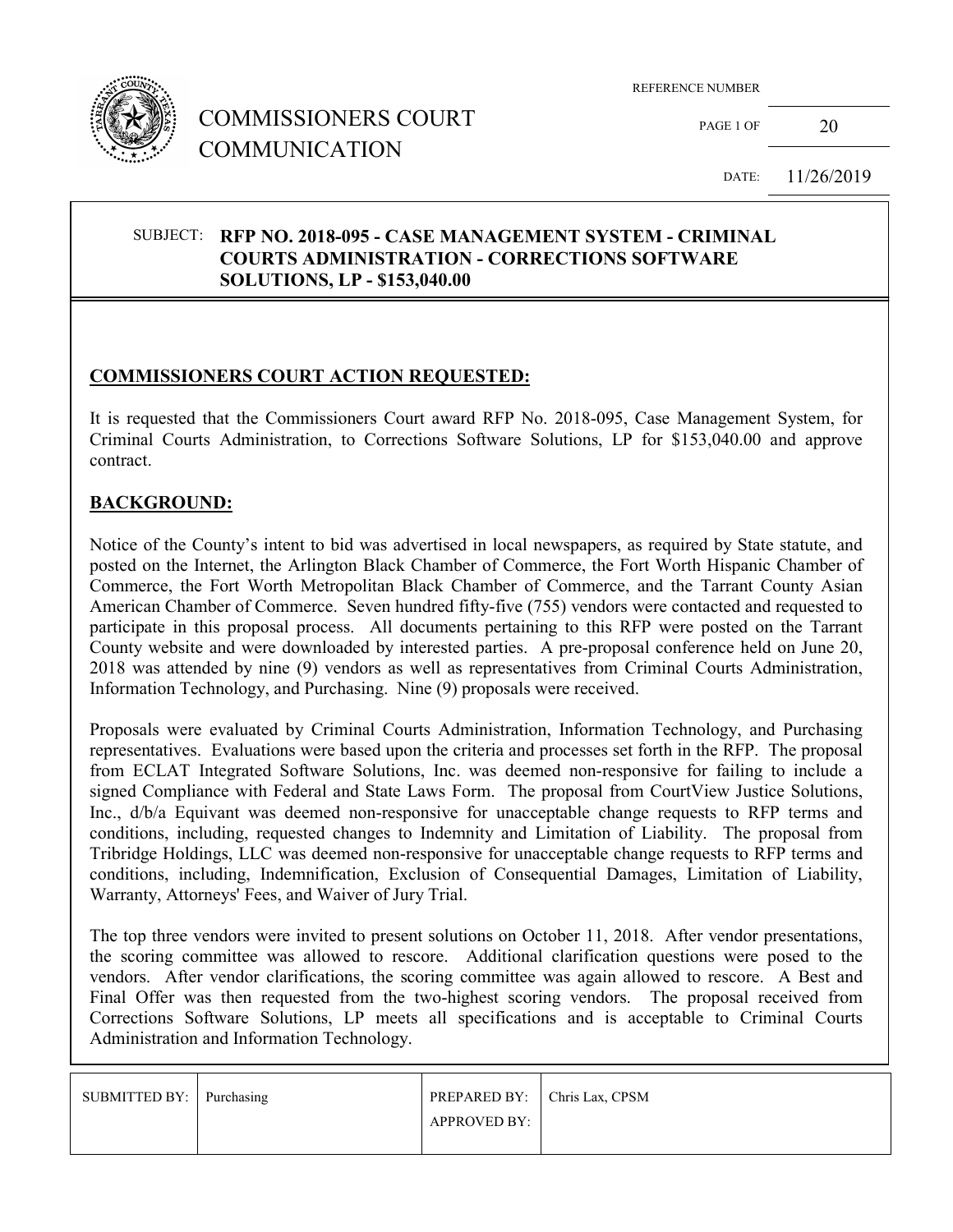

# COMMISSIONERS COURT COMMUNICATION

REFERENCE NUMBER

PAGE 1 OF  $20$ 

DATE: 11/26/2019

#### SUBJECT: **RFP NO. 2018-095 - CASE MANAGEMENT SYSTEM - CRIMINAL COURTS ADMINISTRATION - CORRECTIONS SOFTWARE SOLUTIONS, LP - \$153,040.00**

## **COMMISSIONERS COURT ACTION REQUESTED:**

It is requested that the Commissioners Court award RFP No. 2018-095, Case Management System, for Criminal Courts Administration, to Corrections Software Solutions, LP for \$153,040.00 and approve contract.

#### **BACKGROUND:**

Notice of the County's intent to bid was advertised in local newspapers, as required by State statute, and posted on the Internet, the Arlington Black Chamber of Commerce, the Fort Worth Hispanic Chamber of Commerce, the Fort Worth Metropolitan Black Chamber of Commerce, and the Tarrant County Asian American Chamber of Commerce. Seven hundred fifty-five (755) vendors were contacted and requested to participate in this proposal process. All documents pertaining to this RFP were posted on the Tarrant County website and were downloaded by interested parties. A pre-proposal conference held on June 20, 2018 was attended by nine (9) vendors as well as representatives from Criminal Courts Administration, Information Technology, and Purchasing. Nine (9) proposals were received.

Proposals were evaluated by Criminal Courts Administration, Information Technology, and Purchasing representatives. Evaluations were based upon the criteria and processes set forth in the RFP. The proposal from ECLAT Integrated Software Solutions, Inc. was deemed non-responsive for failing to include a signed Compliance with Federal and State Laws Form. The proposal from CourtView Justice Solutions, Inc., d/b/a Equivant was deemed non-responsive for unacceptable change requests to RFP terms and conditions, including, requested changes to Indemnity and Limitation of Liability. The proposal from Tribridge Holdings, LLC was deemed non-responsive for unacceptable change requests to RFP terms and conditions, including, Indemnification, Exclusion of Consequential Damages, Limitation of Liability, Warranty, Attorneys' Fees, and Waiver of Jury Trial.

The top three vendors were invited to present solutions on October 11, 2018. After vendor presentations, the scoring committee was allowed to rescore. Additional clarification questions were posed to the vendors. After vendor clarifications, the scoring committee was again allowed to rescore. A Best and Final Offer was then requested from the two-highest scoring vendors. The proposal received from Corrections Software Solutions, LP meets all specifications and is acceptable to Criminal Courts Administration and Information Technology.

| SUBMITTED BY: Purchasing | PREPARED BY: Chris Lax, CPSM |  |
|--------------------------|------------------------------|--|
|                          | APPROVED BY:                 |  |
|                          |                              |  |
|                          |                              |  |